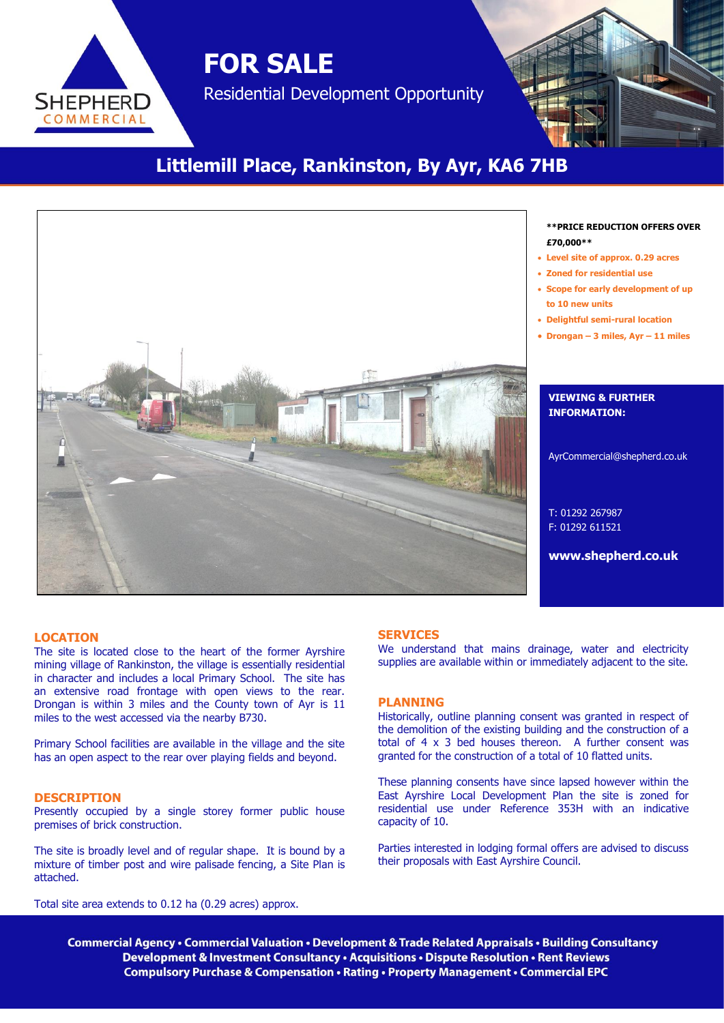**SHEPHERD** COMMERCIAL

# Residential Development Opportunity

**FOR SALE**

# **Littlemill Place, Rankinston, By Ayr, KA6 7HB**



#### **\*\*PRICE REDUCTION OFFERS OVER £70,000\*\***

- **Level site of approx. 0.29 acres**
- **Zoned for residential use**
- **Scope for early development of up to 10 new units**
- **Delightful semi-rural location**
- **Drongan – 3 miles, Ayr – 11 miles**

#### **VIEWING & FURTHER INFORMATION:**

AyrCommercial@shepherd.co.uk

T: 01292 267987 F: 01292 611521

**www.shepherd.co.uk**

#### **LOCATION**

The site is located close to the heart of the former Ayrshire mining village of Rankinston, the village is essentially residential in character and includes a local Primary School. The site has an extensive road frontage with open views to the rear. Drongan is within 3 miles and the County town of Ayr is 11 miles to the west accessed via the nearby B730.

Primary School facilities are available in the village and the site has an open aspect to the rear over playing fields and beyond.

#### **DESCRIPTION**

Presently occupied by a single storey former public house premises of brick construction.

The site is broadly level and of regular shape. It is bound by a mixture of timber post and wire palisade fencing, a Site Plan is attached.

Total site area extends to 0.12 ha (0.29 acres) approx.

#### **SERVICES**

We understand that mains drainage, water and electricity supplies are available within or immediately adjacent to the site.

#### **PLANNING**

Historically, outline planning consent was granted in respect of the demolition of the existing building and the construction of a total of 4 x 3 bed houses thereon. A further consent was granted for the construction of a total of 10 flatted units.

These planning consents have since lapsed however within the East Ayrshire Local Development Plan the site is zoned for residential use under Reference 353H with an indicative capacity of 10.

Parties interested in lodging formal offers are advised to discuss their proposals with East Ayrshire Council.

Commercial Agency • Commercial Valuation • Development & Trade Related Appraisals • Building Consultancy Development & Investment Consultancy . Acquisitions . Dispute Resolution . Rent Reviews **Compulsory Purchase & Compensation • Rating • Property Management • Commercial EPC**